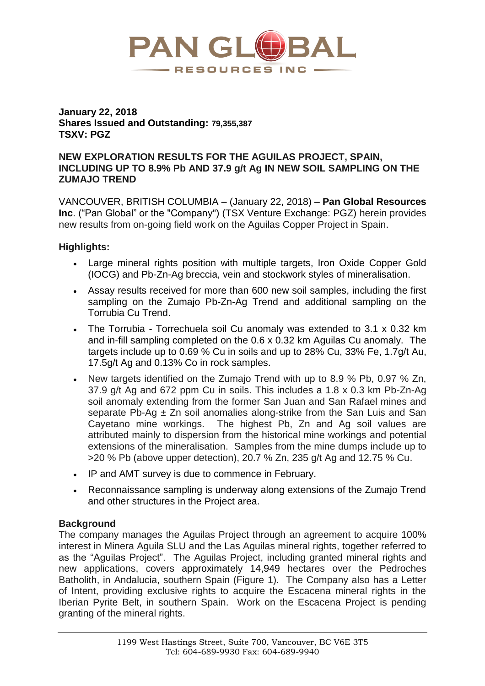

## **January 22, 2018 Shares Issued and Outstanding: 79,355,387 TSXV: PGZ**

### **NEW EXPLORATION RESULTS FOR THE AGUILAS PROJECT, SPAIN, INCLUDING UP TO 8.9% Pb AND 37.9 g/t Ag IN NEW SOIL SAMPLING ON THE ZUMAJO TREND**

VANCOUVER, BRITISH COLUMBIA – (January 22, 2018) – **Pan Global Resources Inc**. ("Pan Global" or the "Company") (TSX Venture Exchange: PGZ) herein provides new results from on-going field work on the Aguilas Copper Project in Spain.

# **Highlights:**

- Large mineral rights position with multiple targets, Iron Oxide Copper Gold (IOCG) and Pb-Zn-Ag breccia, vein and stockwork styles of mineralisation.
- Assay results received for more than 600 new soil samples, including the first sampling on the Zumajo Pb-Zn-Ag Trend and additional sampling on the Torrubia Cu Trend.
- The Torrubia Torrechuela soil Cu anomaly was extended to 3.1 x 0.32 km and in-fill sampling completed on the 0.6 x 0.32 km Aguilas Cu anomaly. The targets include up to 0.69 % Cu in soils and up to 28% Cu, 33% Fe, 1.7g/t Au, 17.5g/t Ag and 0.13% Co in rock samples.
- New targets identified on the Zumajo Trend with up to 8.9 % Pb, 0.97 % Zn, 37.9 g/t Ag and 672 ppm Cu in soils. This includes a 1.8 x 0.3 km Pb-Zn-Ag soil anomaly extending from the former San Juan and San Rafael mines and separate Pb-Ag  $\pm$  Zn soil anomalies along-strike from the San Luis and San Cayetano mine workings. The highest Pb, Zn and Ag soil values are attributed mainly to dispersion from the historical mine workings and potential extensions of the mineralisation. Samples from the mine dumps include up to >20 % Pb (above upper detection), 20.7 % Zn, 235 g/t Ag and 12.75 % Cu.
- IP and AMT survey is due to commence in February.
- Reconnaissance sampling is underway along extensions of the Zumajo Trend and other structures in the Project area.

# **Background**

The company manages the Aguilas Project through an agreement to acquire 100% interest in Minera Aguila SLU and the Las Aguilas mineral rights, together referred to as the "Aguilas Project". The Aguilas Project, including granted mineral rights and new applications, covers approximately 14,949 hectares over the Pedroches Batholith, in Andalucia, southern Spain (Figure 1). The Company also has a Letter of Intent, providing exclusive rights to acquire the Escacena mineral rights in the Iberian Pyrite Belt, in southern Spain. Work on the Escacena Project is pending granting of the mineral rights.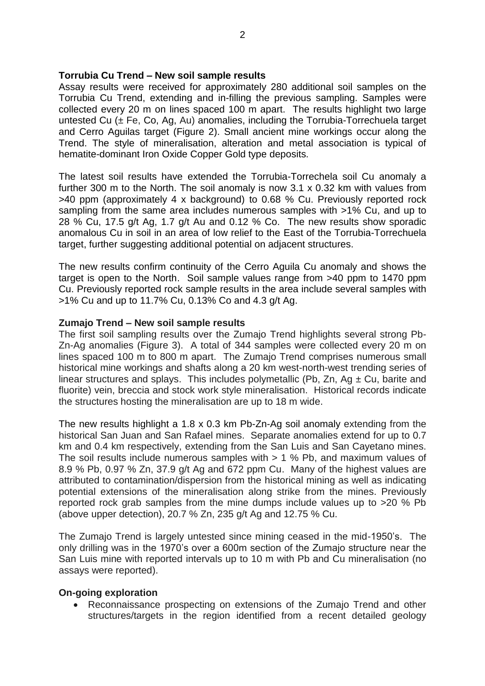### **Torrubia Cu Trend – New soil sample results**

Assay results were received for approximately 280 additional soil samples on the Torrubia Cu Trend, extending and in-filling the previous sampling. Samples were collected every 20 m on lines spaced 100 m apart. The results highlight two large untested Cu  $(\pm$  Fe, Co, Ag, Au) anomalies, including the Torrubia-Torrechuela target and Cerro Aguilas target (Figure 2). Small ancient mine workings occur along the Trend. The style of mineralisation, alteration and metal association is typical of hematite-dominant Iron Oxide Copper Gold type deposits.

The latest soil results have extended the Torrubia-Torrechela soil Cu anomaly a further 300 m to the North. The soil anomaly is now 3.1 x 0.32 km with values from >40 ppm (approximately 4 x background) to 0.68 % Cu. Previously reported rock sampling from the same area includes numerous samples with >1% Cu, and up to 28 % Cu, 17.5 g/t Ag, 1.7 g/t Au and 0.12 % Co. The new results show sporadic anomalous Cu in soil in an area of low relief to the East of the Torrubia-Torrechuela target, further suggesting additional potential on adjacent structures.

The new results confirm continuity of the Cerro Aguila Cu anomaly and shows the target is open to the North. Soil sample values range from >40 ppm to 1470 ppm Cu. Previously reported rock sample results in the area include several samples with >1% Cu and up to 11.7% Cu, 0.13% Co and 4.3 g/t Ag.

### **Zumajo Trend – New soil sample results**

The first soil sampling results over the Zumajo Trend highlights several strong Pb-Zn-Ag anomalies (Figure 3). A total of 344 samples were collected every 20 m on lines spaced 100 m to 800 m apart. The Zumajo Trend comprises numerous small historical mine workings and shafts along a 20 km west-north-west trending series of linear structures and splays. This includes polymetallic (Pb,  $Zn$ , Ag  $\pm$  Cu, barite and fluorite) vein, breccia and stock work style mineralisation. Historical records indicate the structures hosting the mineralisation are up to 18 m wide.

The new results highlight a 1.8 x 0.3 km Pb-Zn-Ag soil anomaly extending from the historical San Juan and San Rafael mines. Separate anomalies extend for up to 0.7 km and 0.4 km respectively, extending from the San Luis and San Cayetano mines. The soil results include numerous samples with  $> 1$  % Pb, and maximum values of 8.9 % Pb, 0.97 % Zn, 37.9 g/t Ag and 672 ppm Cu. Many of the highest values are attributed to contamination/dispersion from the historical mining as well as indicating potential extensions of the mineralisation along strike from the mines. Previously reported rock grab samples from the mine dumps include values up to >20 % Pb (above upper detection), 20.7 % Zn, 235 g/t Ag and 12.75 % Cu.

The Zumajo Trend is largely untested since mining ceased in the mid-1950's. The only drilling was in the 1970's over a 600m section of the Zumajo structure near the San Luis mine with reported intervals up to 10 m with Pb and Cu mineralisation (no assays were reported).

#### **On-going exploration**

• Reconnaissance prospecting on extensions of the Zumajo Trend and other structures/targets in the region identified from a recent detailed geology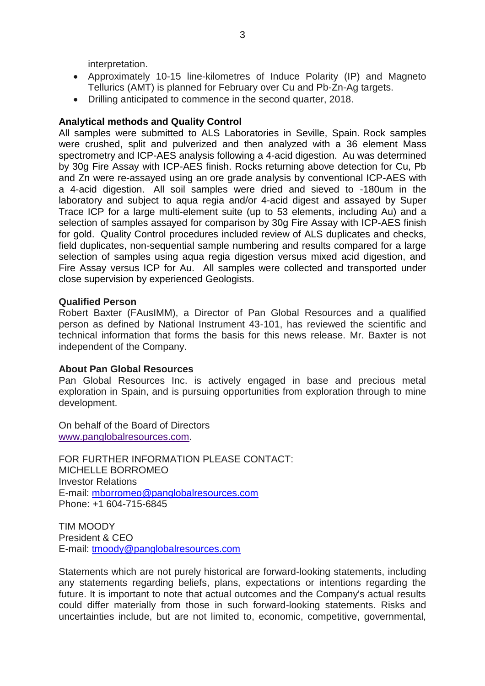interpretation.

- Approximately 10-15 line-kilometres of Induce Polarity (IP) and Magneto Tellurics (AMT) is planned for February over Cu and Pb-Zn-Ag targets.
- Drilling anticipated to commence in the second quarter, 2018.

## **Analytical methods and Quality Control**

All samples were submitted to ALS Laboratories in Seville, Spain. Rock samples were crushed, split and pulverized and then analyzed with a 36 element Mass spectrometry and ICP-AES analysis following a 4-acid digestion. Au was determined by 30g Fire Assay with ICP-AES finish. Rocks returning above detection for Cu, Pb and Zn were re-assayed using an ore grade analysis by conventional ICP-AES with a 4-acid digestion. All soil samples were dried and sieved to -180um in the laboratory and subject to aqua regia and/or 4-acid digest and assayed by Super Trace ICP for a large multi-element suite (up to 53 elements, including Au) and a selection of samples assayed for comparison by 30g Fire Assay with ICP-AES finish for gold. Quality Control procedures included review of ALS duplicates and checks, field duplicates, non-sequential sample numbering and results compared for a large selection of samples using aqua regia digestion versus mixed acid digestion, and Fire Assay versus ICP for Au. All samples were collected and transported under close supervision by experienced Geologists.

### **Qualified Person**

Robert Baxter (FAusIMM), a Director of Pan Global Resources and a qualified person as defined by National Instrument 43-101, has reviewed the scientific and technical information that forms the basis for this news release. Mr. Baxter is not independent of the Company.

### **About Pan Global Resources**

Pan Global Resources Inc. is actively engaged in base and precious metal exploration in Spain, and is pursuing opportunities from exploration through to mine development.

On behalf of the Board of Directors [www.panglobalresources.com.](http://www.panglobalresources.com/)

FOR FURTHER INFORMATION PLEASE CONTACT: MICHELLE BORROMEO Investor Relations E-mail: [mborromeo@panglobalresources.com](mailto:mborromeo@panglobalresources.com) Phone: +1 604-715-6845

TIM MOODY President & CEO E-mail: [tmoody@panglobalresources.com](mailto:tmoody@panglobalresources.com)

Statements which are not purely historical are forward-looking statements, including any statements regarding beliefs, plans, expectations or intentions regarding the future. It is important to note that actual outcomes and the Company's actual results could differ materially from those in such forward-looking statements. Risks and uncertainties include, but are not limited to, economic, competitive, governmental,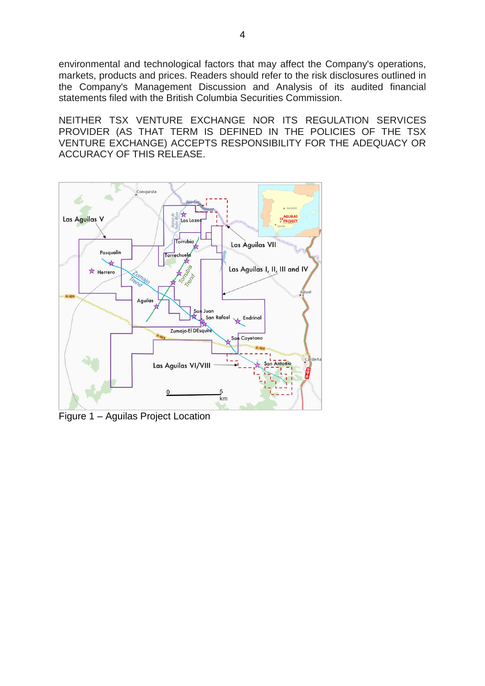environmental and technological factors that may affect the Company's operations, markets, products and prices. Readers should refer to the risk disclosures outlined in the Company's Management Discussion and Analysis of its audited financial statements filed with the British Columbia Securities Commission.

NEITHER TSX VENTURE EXCHANGE NOR ITS REGULATION SERVICES PROVIDER (AS THAT TERM IS DEFINED IN THE POLICIES OF THE TSX VENTURE EXCHANGE) ACCEPTS RESPONSIBILITY FOR THE ADEQUACY OR ACCURACY OF THIS RELEASE.



Figure 1 – Aguilas Project Location